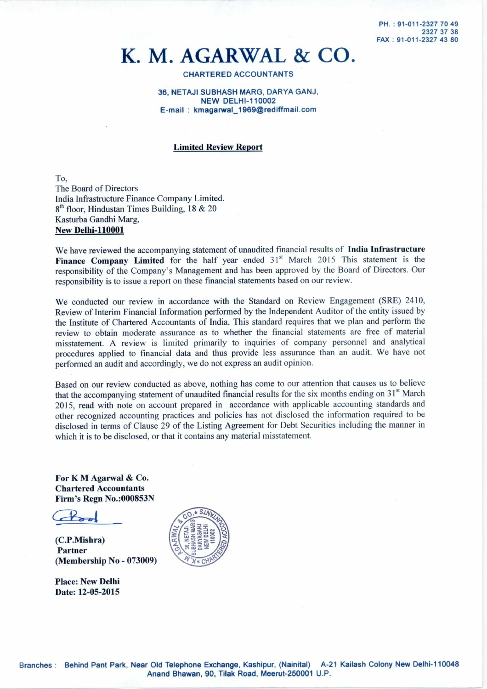# **K. M. AGARWAL & CO.**

## CHARTERED ACCOUNTANTS

### 36, NETAJI SUBHASH MARG, DARYA GANJ, NEW DELHI-110002 E-mail: kmagarwal\_1969@rediffmail.com

# **Limited Review Report**

To, The Board of Directors India Infrastructure Finance Company Limited.  $8<sup>th</sup>$  floor, Hindustan Times Building, 18 & 20 Kasturba Gandhi Marg, **New Delhi-110001** 

We have reviewed the accompanying statement of unaudited financial results of **India Infrastructure**  Finance Company Limited for the half year ended 31<sup>st</sup> March 2015 This statement is the responsibility of the Company's Management and has been approved by the Board of Directors. Our responsibility is to issue a report on these financial statements based on our review.

We conducted our review in accordance with the Standard on Review Engagement (SRE) 2410, Review of Interim Financial Information performed by the Independent Auditor of the entity issued by the Institute of Chartered Accountants of India. This standard requires that we plan and perform the review to obtain moderate assurance as to whether the financial statements are free of material misstatement. A review is limited primarily to inquiries of company personnel and analytical procedures applied to financial data and thus provide less assurance than an audit. We have not performed an audit and accordingly, we do not express an audit opinion.

Based on our review conducted as above, nothing has come to our attention that causes us to believe that the accompanying statement of unaudited financial results for the six months ending on  $31<sup>st</sup>$  March 2015, read with note on account prepared in accordance with applicable accounting standards and other recognized accounting practices and policies has not disclosed the information required to be disclosed in terms of Clause 29 of the Listing Agreement for Debt Securities including the manner in which it is to be disclosed, or that it contains any material misstatement.

**For K M Agarwal & Co. Chartered Accountants Firm's Regn No.:000853N** 

 $4$ 

**(C.P.Mishra) Partner (Membership No - 073009)** 

**Place: New Delhi Date: 12-05-2015** 

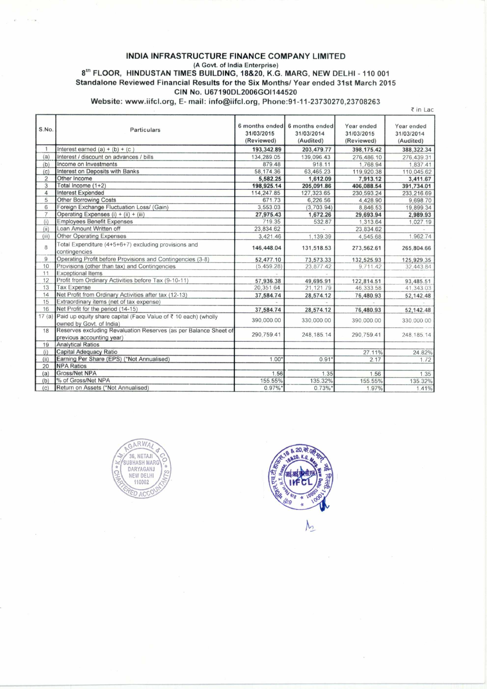### **INDIA INFRASTRUCTURE FINANCE COMPANY LIMITED**  (A Govt. of India Enterprise) **tr" FLOOR, HINDUSTAN TIMES BUILDING, 18&20, K.G. MARG, NEW DELHI - 110 001 Standalone Reviewed Financial Results for the Six Months/ Year ended 31st March 2015**

**CIN No. U67190DL2006G01144520** 

**Website: www.iifcl.org , E- mail: info@iifcl.org, Phone:91-11-23730270,23708263** 

|                |                                                                                               |                                            |                                           |                                        | ₹ in Lac                              |
|----------------|-----------------------------------------------------------------------------------------------|--------------------------------------------|-------------------------------------------|----------------------------------------|---------------------------------------|
| S.No.          | Particulars                                                                                   | 6 months ended<br>31/03/2015<br>(Reviewed) | 6 months ended<br>31/03/2014<br>(Audited) | Year ended<br>31/03/2015<br>(Reviewed) | Year ended<br>31/03/2014<br>(Audited) |
|                | Interest earned $(a) + (b) + (c)$                                                             | 193,342.89                                 | 203,479.77                                | 398,175.42                             | 388, 322.34                           |
| (a)            | Interest / discount on advances / bills                                                       | 134,289.05                                 | 139,096.43                                | 276,486.10                             | 276,439.31                            |
| (b)            | Income on Investments                                                                         | 879.48                                     | 918.11                                    | 1,768.94                               | 1,837.41                              |
| (c)            | Interest on Deposits with Banks                                                               | 58,174.36                                  | 63,465.23                                 | 119,920.38                             | 110,045.62                            |
| 2              | Other Income                                                                                  | 5,582.25                                   | 1,612.09                                  | 7.913.12                               | 3,411.67                              |
| 3              | Total Income (1+2)                                                                            | 198,925.14                                 | 205,091.86                                | 406,088.54                             | 391,734.01                            |
| 4              | Interest Expended                                                                             | 114,247.85                                 | 127,323.65                                | 230,593.24                             | 233,216.69                            |
| 5              | <b>Other Borrowing Costs</b>                                                                  | 671.73                                     | 6,226.56                                  | 4,428.90                               | 9,698.70                              |
| 6              | Foreign Exchange Fluctuation Loss/ (Gain)                                                     | 3,553.03                                   | (3,703.94)                                | 8,846.53                               | 19,899.34                             |
| $\overline{7}$ | Operating Expenses (i) + (ii) + (iii)                                                         | 27,975.43                                  | 1,672.26                                  | 29,693.94                              | 2,989.93                              |
| (i)            | <b>Employees Benefit Expenses</b>                                                             | 719.35                                     | 532.87                                    | 1,313.64                               | 1,027.19                              |
| (ii)           | Loan Amount Written off                                                                       | 23,834.62                                  |                                           | 23,834.62                              |                                       |
| (iii)          | <b>Other Operating Expenses</b>                                                               | 3,421.46                                   | 1,139.39                                  | 4,545.68                               | 1,962.74                              |
| 8              | Total Expenditure (4+5+6+7) excluding provisions and<br>contingencies                         | 146,448.04                                 | 131,518.53                                | 273,562.61                             | 265,804.66                            |
| $\overline{9}$ | Operating Profit before Provisions and Contingencies (3-8)                                    | 52,477.10                                  | 73,573.33                                 | 132,525.93                             | 125,929.35                            |
| 10             | Provisions (other than tax) and Contingencies                                                 | (5.459.28)                                 | 23.877.42                                 | 9.711.42                               | 32.443.84                             |
| 11             | <b>Exceptional Items</b>                                                                      |                                            |                                           |                                        |                                       |
| 12             | Profit from Ordinary Activities before Tax (9-10-11)                                          | 57,936.38                                  | 49,695.91                                 | 122,814.51                             | 93,485.51                             |
| 13             | <b>Tax Expense</b>                                                                            | 20,351.64                                  | 21,121.79                                 | 46,333.58                              | 41,343.03                             |
| 14             | Net Profit from Ordinary Activities after tax (12-13)                                         | 37,584.74                                  | 28,574.12                                 | 76,480.93                              | 52,142.48                             |
| 15             | Extraordinary items (net of tax expense)                                                      |                                            |                                           |                                        |                                       |
| 16             | Net Profit for the period (14-15)                                                             | 37,584.74                                  | 28,574.12                                 | 76,480.93                              | 52,142.48                             |
| 17(a)          | Paid up equity share capital (Face Value of ₹ 10 each) (wholly<br>owned by Govt. of India)    | 390,000.00                                 | 330,000.00                                | 390,000.00                             | 330,000.00                            |
| 18             | Reserves excluding Revaluation Reserves (as per Balance Sheet of<br>previous accounting year) | 290,759.41                                 | 248, 185. 14                              | 290.759.41                             | 248.185.14                            |
| 19             | <b>Analytical Ratios</b>                                                                      |                                            |                                           |                                        |                                       |
| (i)            | Capital Adequacy Ratio                                                                        |                                            |                                           | 27.11%                                 | 24.82%                                |
| (ii)           | Earning Per Share (EPS) (*Not Annualised)                                                     | $1.00*$                                    | 0.91                                      | 2.17                                   | 1.72                                  |
| 20             | <b>NPA Ratios</b>                                                                             |                                            |                                           |                                        |                                       |
| (a)            | Gross/Net NPA                                                                                 | 1.56                                       | 1.35                                      | 1.56                                   | 1.35                                  |
| (b)            | % of Gross/Net NPA                                                                            | 155.55%                                    | 135.32%                                   | 155.55%                                | 135.32%                               |
| (c)            | Return on Assets (*Not Annualised)                                                            | $0.97\%$ *                                 | $0.73\%$                                  | 1.97%                                  | 1.41%                                 |





 $\mathcal{h}_{2}$